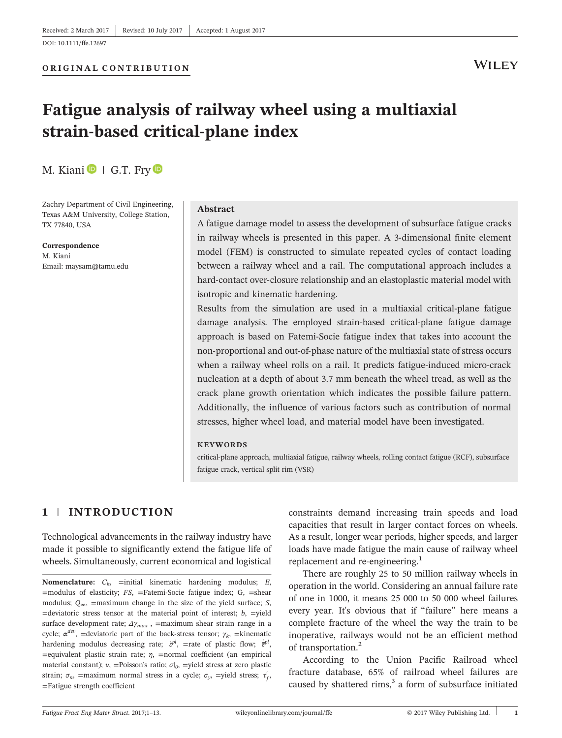[DOI: 10.1111/ffe.12697](https://doi.org/10.1111/ffe.12697)

## **WILEY**

# Fatigue analysis of railway wheel using a multiaxial strain‐based critical‐plane index

M. Kiani  $\blacksquare$  | G.T. Fry  $\blacksquare$ 

Zachry Department of Civil Engineering, Texas A&M University, College Station, TX 77840, USA

Correspondence M. Kiani Email: [maysam@tamu.edu](mailto:maysam@tamu.edu)

#### Abstract

A fatigue damage model to assess the development of subsurface fatigue cracks in railway wheels is presented in this paper. A 3‐dimensional finite element model (FEM) is constructed to simulate repeated cycles of contact loading between a railway wheel and a rail. The computational approach includes a hard-contact over-closure relationship and an elastoplastic material model with isotropic and kinematic hardening.

Results from the simulation are used in a multiaxial critical-plane fatigue damage analysis. The employed strain‐based critical‐plane fatigue damage approach is based on Fatemi‐Socie fatigue index that takes into account the non‐proportional and out‐of‐phase nature of the multiaxial state of stress occurs when a railway wheel rolls on a rail. It predicts fatigue-induced micro-crack nucleation at a depth of about 3.7 mm beneath the wheel tread, as well as the crack plane growth orientation which indicates the possible failure pattern. Additionally, the influence of various factors such as contribution of normal stresses, higher wheel load, and material model have been investigated.

#### KEYWORDS

critical‐plane approach, multiaxial fatigue, railway wheels, rolling contact fatigue (RCF), subsurface fatigue crack, vertical split rim (VSR)

## 1 | INTRODUCTION

Technological advancements in the railway industry have made it possible to significantly extend the fatigue life of wheels. Simultaneously, current economical and logistical

Nomenclature:  $C_k$ , =initial kinematic hardening modulus;  $E$ ,  $=$ modulus of elasticity;  $FS$ ,  $=$ Fatemi-Socie fatigue index; G,  $=$ shear modulus;  $Q_{\infty}$ , =maximum change in the size of the yield surface; S,  $=$ deviatoric stress tensor at the material point of interest;  $b$ ,  $=$ yield surface development rate;  $\Delta \gamma_{max}$ , =maximum shear strain range in a cycle;  $\alpha^{dev}$ , =deviatoric part of the back-stress tensor;  $\gamma_k$ , =kinematic hardening modulus decreasing rate;  $\dot{\varepsilon}^{pl}$ , =rate of plastic flow;  $\dot{\bar{\varepsilon}}^{pl}$ ,  $=$ equivalent plastic strain rate;  $\eta$ ,  $=$ normal coefficient (an empirical material constant);  $\nu$ , =Poisson's ratio;  $\sigma|_0$ , =yield stress at zero plastic strain;  $\sigma_n$ , =maximum normal stress in a cycle;  $\sigma_y$ , =yield stress;  $\tau'_f$ , =Fatigue strength coefficient

constraints demand increasing train speeds and load capacities that result in larger contact forces on wheels. As a result, longer wear periods, higher speeds, and larger loads have made fatigue the main cause of railway wheel replacement and re-engineering.<sup>1</sup>

There are roughly 25 to 50 million railway wheels in operation in the world. Considering an annual failure rate of one in 1000, it means 25 000 to 50 000 wheel failures every year. It's obvious that if "failure" here means a complete fracture of the wheel the way the train to be inoperative, railways would not be an efficient method of transportation.<sup>2</sup>

According to the Union Pacific Railroad wheel fracture database, 65% of railroad wheel failures are caused by shattered rims, $3$  a form of subsurface initiated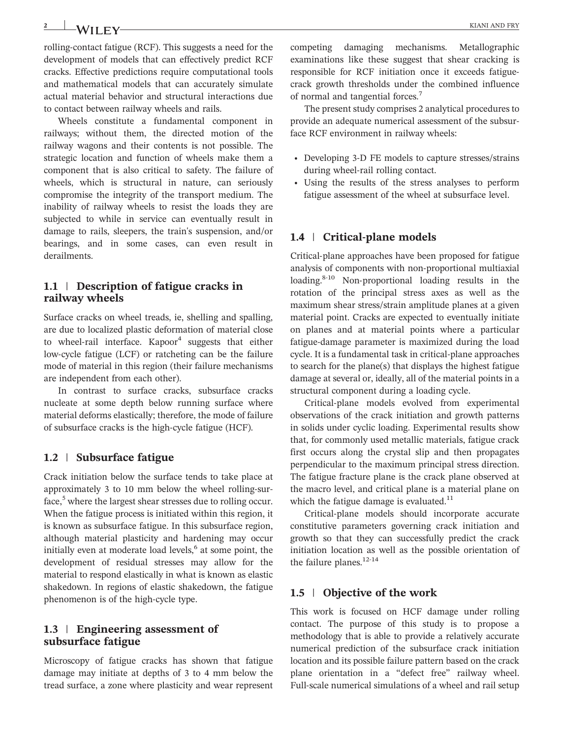rolling‐contact fatigue (RCF). This suggests a need for the development of models that can effectively predict RCF cracks. Effective predictions require computational tools and mathematical models that can accurately simulate actual material behavior and structural interactions due to contact between railway wheels and rails.

Wheels constitute a fundamental component in railways; without them, the directed motion of the railway wagons and their contents is not possible. The strategic location and function of wheels make them a component that is also critical to safety. The failure of wheels, which is structural in nature, can seriously compromise the integrity of the transport medium. The inability of railway wheels to resist the loads they are subjected to while in service can eventually result in damage to rails, sleepers, the train's suspension, and/or bearings, and in some cases, can even result in derailments.

#### 1.1 | Description of fatigue cracks in railway wheels

Surface cracks on wheel treads, ie, shelling and spalling, are due to localized plastic deformation of material close to wheel-rail interface. Kapoor<sup>4</sup> suggests that either low‐cycle fatigue (LCF) or ratcheting can be the failure mode of material in this region (their failure mechanisms are independent from each other).

In contrast to surface cracks, subsurface cracks nucleate at some depth below running surface where material deforms elastically; therefore, the mode of failure of subsurface cracks is the high‐cycle fatigue (HCF).

#### 1.2 | Subsurface fatigue

Crack initiation below the surface tends to take place at approximately 3 to 10 mm below the wheel rolling‐surface, $5$  where the largest shear stresses due to rolling occur. When the fatigue process is initiated within this region, it is known as subsurface fatigue. In this subsurface region, although material plasticity and hardening may occur initially even at moderate load levels, $6$  at some point, the development of residual stresses may allow for the material to respond elastically in what is known as elastic shakedown. In regions of elastic shakedown, the fatigue phenomenon is of the high‐cycle type.

#### 1.3 | Engineering assessment of subsurface fatigue

Microscopy of fatigue cracks has shown that fatigue damage may initiate at depths of 3 to 4 mm below the tread surface, a zone where plasticity and wear represent competing damaging mechanisms. Metallographic examinations like these suggest that shear cracking is responsible for RCF initiation once it exceeds fatiguecrack growth thresholds under the combined influence of normal and tangential forces.<sup>7</sup>

The present study comprises 2 analytical procedures to provide an adequate numerical assessment of the subsurface RCF environment in railway wheels:

- Developing 3-D FE models to capture stresses/strains during wheel‐rail rolling contact.
- Using the results of the stress analyses to perform fatigue assessment of the wheel at subsurface level.

#### 1.4 | Critical-plane models

Critical‐plane approaches have been proposed for fatigue analysis of components with non‐proportional multiaxial loading.<sup>8-10</sup> Non-proportional loading results in the rotation of the principal stress axes as well as the maximum shear stress/strain amplitude planes at a given material point. Cracks are expected to eventually initiate on planes and at material points where a particular fatigue‐damage parameter is maximized during the load cycle. It is a fundamental task in critical‐plane approaches to search for the plane(s) that displays the highest fatigue damage at several or, ideally, all of the material points in a structural component during a loading cycle.

Critical‐plane models evolved from experimental observations of the crack initiation and growth patterns in solids under cyclic loading. Experimental results show that, for commonly used metallic materials, fatigue crack first occurs along the crystal slip and then propagates perpendicular to the maximum principal stress direction. The fatigue fracture plane is the crack plane observed at the macro level, and critical plane is a material plane on which the fatigue damage is evaluated. $11$ 

Critical‐plane models should incorporate accurate constitutive parameters governing crack initiation and growth so that they can successfully predict the crack initiation location as well as the possible orientation of the failure planes.<sup>12-14</sup>

#### 1.5 | Objective of the work

This work is focused on HCF damage under rolling contact. The purpose of this study is to propose a methodology that is able to provide a relatively accurate numerical prediction of the subsurface crack initiation location and its possible failure pattern based on the crack plane orientation in a "defect free" railway wheel. Full-scale numerical simulations of a wheel and rail setup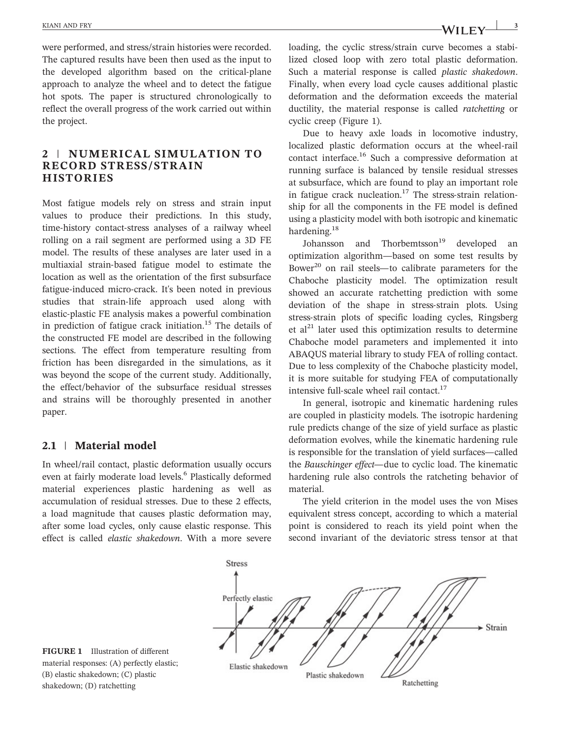were performed, and stress/strain histories were recorded. The captured results have been then used as the input to the developed algorithm based on the critical‐plane approach to analyze the wheel and to detect the fatigue hot spots. The paper is structured chronologically to reflect the overall progress of the work carried out within the project.

## 2 | NUMERICAL SIMULATION TO RECORD STRESS/STRAIN **HISTORIES**

Most fatigue models rely on stress and strain input values to produce their predictions. In this study, time‐history contact‐stress analyses of a railway wheel rolling on a rail segment are performed using a 3D FE model. The results of these analyses are later used in a multiaxial strain‐based fatigue model to estimate the location as well as the orientation of the first subsurface fatigue‐induced micro‐crack. It's been noted in previous studies that strain‐life approach used along with elastic‐plastic FE analysis makes a powerful combination in prediction of fatigue crack initiation.<sup>15</sup> The details of the constructed FE model are described in the following sections. The effect from temperature resulting from friction has been disregarded in the simulations, as it was beyond the scope of the current study. Additionally, the effect/behavior of the subsurface residual stresses and strains will be thoroughly presented in another paper.

## 2.1 | Material model

In wheel/rail contact, plastic deformation usually occurs even at fairly moderate load levels.<sup>6</sup> Plastically deformed material experiences plastic hardening as well as accumulation of residual stresses. Due to these 2 effects, a load magnitude that causes plastic deformation may, after some load cycles, only cause elastic response. This effect is called elastic shakedown. With a more severe

loading, the cyclic stress/strain curve becomes a stabilized closed loop with zero total plastic deformation. Such a material response is called plastic shakedown. Finally, when every load cycle causes additional plastic deformation and the deformation exceeds the material ductility, the material response is called ratchetting or cyclic creep (Figure 1).

Due to heavy axle loads in locomotive industry, localized plastic deformation occurs at the wheel‐rail contact interface.<sup>16</sup> Such a compressive deformation at running surface is balanced by tensile residual stresses at subsurface, which are found to play an important role in fatigue crack nucleation.<sup>17</sup> The stress-strain relationship for all the components in the FE model is defined using a plasticity model with both isotropic and kinematic hardening.<sup>18</sup>

Johansson and Thorbemtsson<sup>19</sup> developed an optimization algorithm—based on some test results by Bower<sup>20</sup> on rail steels—to calibrate parameters for the Chaboche plasticity model. The optimization result showed an accurate ratchetting prediction with some deviation of the shape in stress‐strain plots. Using stress‐strain plots of specific loading cycles, Ringsberg et  $al<sup>21</sup>$  later used this optimization results to determine Chaboche model parameters and implemented it into ABAQUS material library to study FEA of rolling contact. Due to less complexity of the Chaboche plasticity model, it is more suitable for studying FEA of computationally intensive full-scale wheel rail contact.<sup>17</sup>

In general, isotropic and kinematic hardening rules are coupled in plasticity models. The isotropic hardening rule predicts change of the size of yield surface as plastic deformation evolves, while the kinematic hardening rule is responsible for the translation of yield surfaces—called the Bauschinger effect—due to cyclic load. The kinematic hardening rule also controls the ratcheting behavior of material.

The yield criterion in the model uses the von Mises equivalent stress concept, according to which a material point is considered to reach its yield point when the second invariant of the deviatoric stress tensor at that



FIGURE 1 Illustration of different material responses: (A) perfectly elastic; (B) elastic shakedown; (C) plastic shakedown; (D) ratchetting

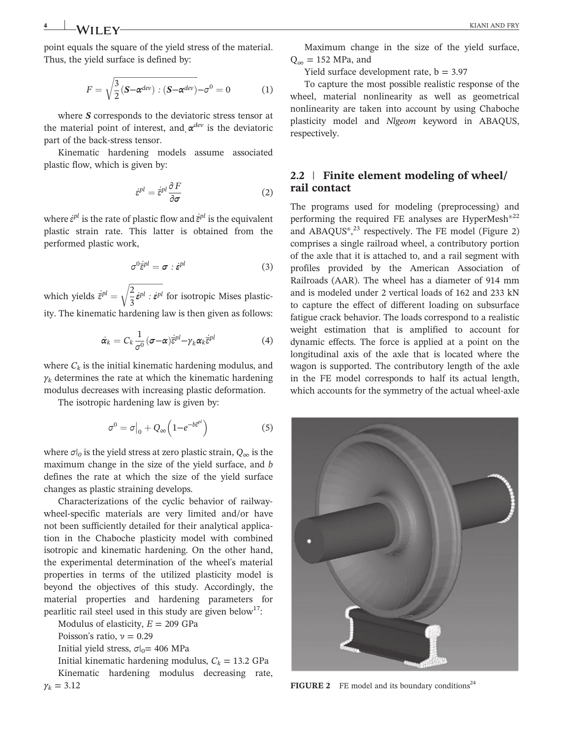point equals the square of the yield stress of the material. Thus, the yield surface is defined by:

$$
F = \sqrt{\frac{3}{2}(\mathbf{S} - \boldsymbol{\alpha}^{dev}) : (\mathbf{S} - \boldsymbol{\alpha}^{dev}) - \sigma^0 = 0}
$$
 (1)

where  $S$  corresponds to the deviatoric stress tensor at the material point of interest, and  $\alpha^{dev}$  is the deviatoric<br>part of the back-stress tensor part of the back‐stress tensor.

Kinematic hardening models assume associated plastic flow, which is given by:

$$
\dot{\varepsilon}^{pl} = \dot{\overline{\varepsilon}}^{pl} \frac{\partial F}{\partial \sigma} \tag{2}
$$

where  $\dot{\varepsilon}^{pl}$  is the rate of plastic flow and  $\dot{\bar{\varepsilon}}^{pl}$  is the equivalent plastic strain rate. This latter is obtained from the performed plastic work,

$$
\sigma^0 \dot{\bar{\epsilon}}^{pl} = \sigma : \dot{\epsilon}^{pl} \tag{3}
$$

which yields  $\dot{\bar{\epsilon}}^{pl} = \sqrt{\frac{2}{3}} \dot{\epsilon}^{pl}$  :  $\dot{\epsilon}^{pl}$  $\sqrt{\frac{2}{3}}\dot{\varepsilon}^{pl}$ :  $\dot{\varepsilon}^{pl}$  for isotropic Mises plasticity. The kinematic hardening law is then given as follows:

$$
\dot{\boldsymbol{\alpha}}_k = C_k \frac{1}{\sigma^0} (\boldsymbol{\sigma} - \boldsymbol{\alpha}) \dot{\bar{\boldsymbol{\varepsilon}}}^{pl} - \gamma_k \boldsymbol{\alpha}_k \dot{\bar{\boldsymbol{\varepsilon}}}^{pl}
$$
(4)

where  $C_k$  is the initial kinematic hardening modulus, and  $\gamma_k$  determines the rate at which the kinematic hardening modulus decreases with increasing plastic deformation.

The isotropic hardening law is given by:

$$
\sigma^0 = \sigma\big|_0 + Q_{\infty} \left(1 - e^{-b\overline{\varepsilon}^{pl}}\right) \tag{5}
$$

where  $\sigma|_0$  is the yield stress at zero plastic strain,  $Q_\infty$  is the maximum change in the size of the yield surface, and b defines the rate at which the size of the yield surface changes as plastic straining develops.

Characterizations of the cyclic behavior of railway‐ wheel-specific materials are very limited and/or have not been sufficiently detailed for their analytical application in the Chaboche plasticity model with combined isotropic and kinematic hardening. On the other hand, the experimental determination of the wheel's material properties in terms of the utilized plasticity model is beyond the objectives of this study. Accordingly, the material properties and hardening parameters for pearlitic rail steel used in this study are given below<sup>17</sup>:

Modulus of elasticity,  $E = 209$  GPa

Poisson's ratio,  $\nu = 0.29$ 

Initial yield stress,  $\sigma$ |<sub>0</sub>= 406 MPa

Initial kinematic hardening modulus,  $C_k = 13.2 \text{ GPa}$ Kinematic hardening modulus decreasing rate,  $\gamma_k = 3.12$ 

Maximum change in the size of the yield surface,  $Q_{\infty} = 152$  MPa, and

Yield surface development rate,  $b = 3.97$ 

To capture the most possible realistic response of the wheel, material nonlinearity as well as geometrical nonlinearity are taken into account by using Chaboche plasticity model and Nlgeom keyword in ABAQUS, respectively.

## 2.2 | Finite element modeling of wheel/ rail contact

The programs used for modeling (preprocessing) and performing the required FE analyses are HyperMesh<sup>®22</sup> and  $ABAQUS<sup>®</sup>,<sup>23</sup>$  respectively. The FE model (Figure 2) comprises a single railroad wheel, a contributory portion of the axle that it is attached to, and a rail segment with profiles provided by the American Association of Railroads (AAR). The wheel has a diameter of 914 mm and is modeled under 2 vertical loads of 162 and 233 kN to capture the effect of different loading on subsurface fatigue crack behavior. The loads correspond to a realistic weight estimation that is amplified to account for dynamic effects. The force is applied at a point on the longitudinal axis of the axle that is located where the wagon is supported. The contributory length of the axle in the FE model corresponds to half its actual length, which accounts for the symmetry of the actual wheel‐axle



**FIGURE 2** FE model and its boundary conditions<sup>24</sup>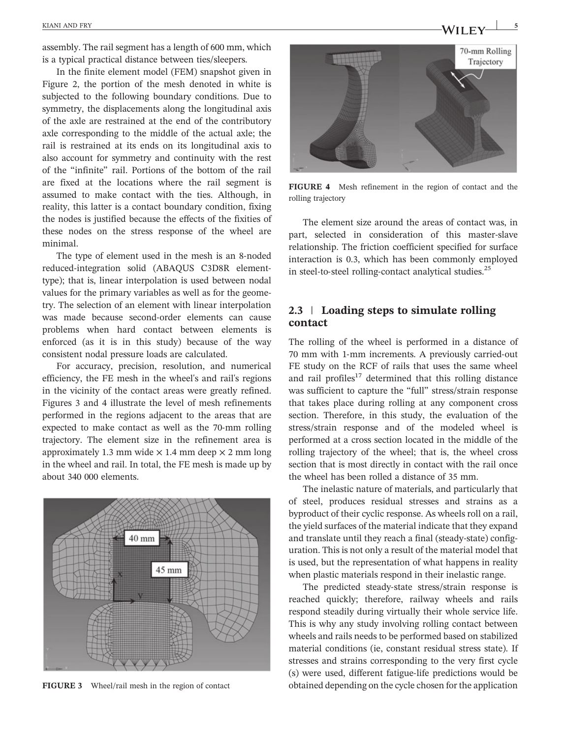assembly. The rail segment has a length of 600 mm, which is a typical practical distance between ties/sleepers.

In the finite element model (FEM) snapshot given in Figure 2, the portion of the mesh denoted in white is subjected to the following boundary conditions. Due to symmetry, the displacements along the longitudinal axis of the axle are restrained at the end of the contributory axle corresponding to the middle of the actual axle; the rail is restrained at its ends on its longitudinal axis to also account for symmetry and continuity with the rest of the "infinite" rail. Portions of the bottom of the rail are fixed at the locations where the rail segment is assumed to make contact with the ties. Although, in reality, this latter is a contact boundary condition, fixing the nodes is justified because the effects of the fixities of these nodes on the stress response of the wheel are minimal.

The type of element used in the mesh is an 8‐noded reduced‐integration solid (ABAQUS C3D8R element‐ type); that is, linear interpolation is used between nodal values for the primary variables as well as for the geometry. The selection of an element with linear interpolation was made because second‐order elements can cause problems when hard contact between elements is enforced (as it is in this study) because of the way consistent nodal pressure loads are calculated.

For accuracy, precision, resolution, and numerical efficiency, the FE mesh in the wheel's and rail's regions in the vicinity of the contact areas were greatly refined. Figures 3 and 4 illustrate the level of mesh refinements performed in the regions adjacent to the areas that are expected to make contact as well as the 70‐mm rolling trajectory. The element size in the refinement area is approximately 1.3 mm wide  $\times$  1.4 mm deep  $\times$  2 mm long in the wheel and rail. In total, the FE mesh is made up by about 340 000 elements.





FIGURE 4 Mesh refinement in the region of contact and the rolling trajectory

The element size around the areas of contact was, in part, selected in consideration of this master‐slave relationship. The friction coefficient specified for surface interaction is 0.3, which has been commonly employed in steel-to-steel rolling-contact analytical studies.<sup>25</sup>

#### 2.3 | Loading steps to simulate rolling contact

The rolling of the wheel is performed in a distance of 70 mm with 1‐mm increments. A previously carried‐out FE study on the RCF of rails that uses the same wheel and rail profiles $17$  determined that this rolling distance was sufficient to capture the "full" stress/strain response that takes place during rolling at any component cross section. Therefore, in this study, the evaluation of the stress/strain response and of the modeled wheel is performed at a cross section located in the middle of the rolling trajectory of the wheel; that is, the wheel cross section that is most directly in contact with the rail once the wheel has been rolled a distance of 35 mm.

The inelastic nature of materials, and particularly that of steel, produces residual stresses and strains as a byproduct of their cyclic response. As wheels roll on a rail, the yield surfaces of the material indicate that they expand and translate until they reach a final (steady‐state) configuration. This is not only a result of the material model that is used, but the representation of what happens in reality when plastic materials respond in their inelastic range.

The predicted steady‐state stress/strain response is reached quickly; therefore, railway wheels and rails respond steadily during virtually their whole service life. This is why any study involving rolling contact between wheels and rails needs to be performed based on stabilized material conditions (ie, constant residual stress state). If stresses and strains corresponding to the very first cycle (s) were used, different fatigue‐life predictions would be FIGURE 3 Wheel/rail mesh in the region of contact obtained depending on the cycle chosen for the application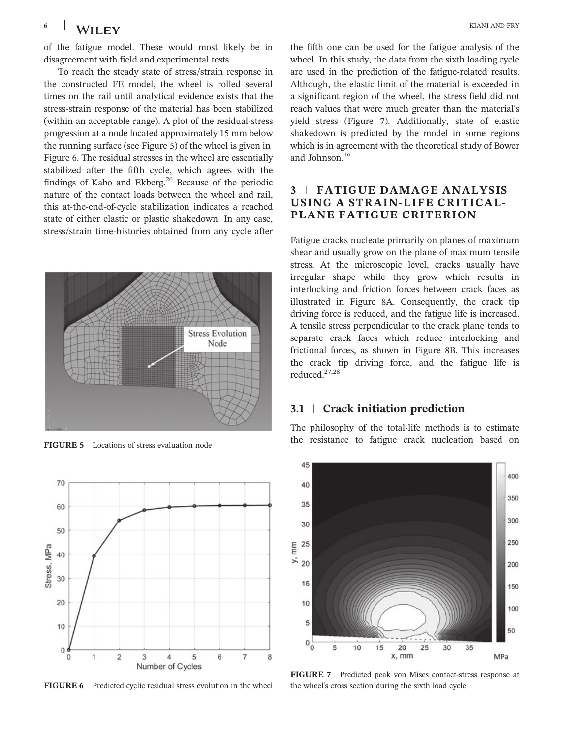of the fatigue model. These would most likely be in disagreement with field and experimental tests.

To reach the steady state of stress/strain response in the constructed FE model, the wheel is rolled several times on the rail until analytical evidence exists that the stress‐strain response of the material has been stabilized (within an acceptable range). A plot of the residual‐stress progression at a node located approximately 15 mm below the running surface (see Figure 5) of the wheel is given in Figure 6. The residual stresses in the wheel are essentially stabilized after the fifth cycle, which agrees with the findings of Kabo and Ekberg.<sup>26</sup> Because of the periodic nature of the contact loads between the wheel and rail, this at‐the‐end‐of‐cycle stabilization indicates a reached state of either elastic or plastic shakedown. In any case, stress/strain time‐histories obtained from any cycle after





FIGURE 6 Predicted cyclic residual stress evolution in the wheel

the fifth one can be used for the fatigue analysis of the wheel. In this study, the data from the sixth loading cycle are used in the prediction of the fatigue‐related results. Although, the elastic limit of the material is exceeded in a significant region of the wheel, the stress field did not reach values that were much greater than the material's yield stress (Figure 7). Additionally, state of elastic shakedown is predicted by the model in some regions which is in agreement with the theoretical study of Bower and Johnson.<sup>16</sup>

## 3 | FATIGUE DAMAGE ANALYSIS USING A STRAIN‐LIFE CRITICAL‐ PLANE FATIGUE CRITERION

Fatigue cracks nucleate primarily on planes of maximum shear and usually grow on the plane of maximum tensile stress. At the microscopic level, cracks usually have irregular shape while they grow which results in interlocking and friction forces between crack faces as illustrated in Figure 8A. Consequently, the crack tip driving force is reduced, and the fatigue life is increased. A tensile stress perpendicular to the crack plane tends to separate crack faces which reduce interlocking and frictional forces, as shown in Figure 8B. This increases the crack tip driving force, and the fatigue life is reduced.27,28

#### 3.1 | Crack initiation prediction

The philosophy of the total-life methods is to estimate the resistance to fatigue crack nucleation based on FIGURE 5 Locations of stress evaluation node



FIGURE 7 Predicted peak von Mises contact‐stress response at the wheel's cross section during the sixth load cycle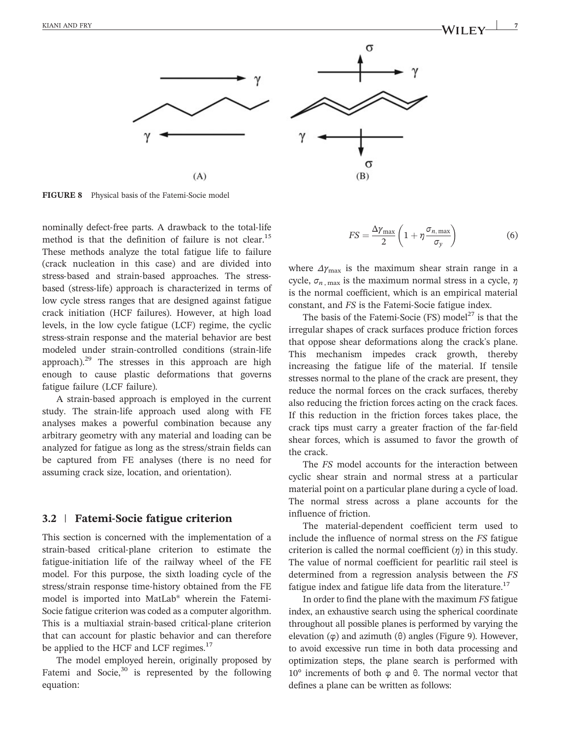

FIGURE 8 Physical basis of the Fatemi-Socie model

nominally defect‐free parts. A drawback to the total‐life method is that the definition of failure is not clear.<sup>15</sup> These methods analyze the total fatigue life to failure (crack nucleation in this case) and are divided into stress-based and strain-based approaches. The stressbased (stress‐life) approach is characterized in terms of low cycle stress ranges that are designed against fatigue crack initiation (HCF failures). However, at high load levels, in the low cycle fatigue (LCF) regime, the cyclic stress‐strain response and the material behavior are best modeled under strain‐controlled conditions (strain‐life approach). $29$  The stresses in this approach are high enough to cause plastic deformations that governs fatigue failure (LCF failure).

A strain‐based approach is employed in the current study. The strain‐life approach used along with FE analyses makes a powerful combination because any arbitrary geometry with any material and loading can be analyzed for fatigue as long as the stress/strain fields can be captured from FE analyses (there is no need for assuming crack size, location, and orientation).

#### 3.2 <sup>|</sup> Fatemi‐Socie fatigue criterion

This section is concerned with the implementation of a strain‐based critical‐plane criterion to estimate the fatigue‐initiation life of the railway wheel of the FE model. For this purpose, the sixth loading cycle of the stress/strain response time‐history obtained from the FE model is imported into MatLab® wherein the Fatemi‐ Socie fatigue criterion was coded as a computer algorithm. This is a multiaxial strain‐based critical‐plane criterion that can account for plastic behavior and can therefore be applied to the HCF and LCF regimes.<sup>17</sup>

The model employed herein, originally proposed by Fatemi and Socie, $30$  is represented by the following equation:

$$
FS = \frac{\Delta \gamma_{\text{max}}}{2} \left( 1 + \eta \frac{\sigma_{n,\text{max}}}{\sigma_y} \right) \tag{6}
$$

where  $\Delta y_{\text{max}}$  is the maximum shear strain range in a cycle,  $\sigma_{n, \text{max}}$  is the maximum normal stress in a cycle,  $\eta$ is the normal coefficient, which is an empirical material constant, and FS is the Fatemi‐Socie fatigue index.

The basis of the Fatemi-Socie (FS) model<sup>27</sup> is that the irregular shapes of crack surfaces produce friction forces that oppose shear deformations along the crack's plane. This mechanism impedes crack growth, thereby increasing the fatigue life of the material. If tensile stresses normal to the plane of the crack are present, they reduce the normal forces on the crack surfaces, thereby also reducing the friction forces acting on the crack faces. If this reduction in the friction forces takes place, the crack tips must carry a greater fraction of the far‐field shear forces, which is assumed to favor the growth of the crack.

The FS model accounts for the interaction between cyclic shear strain and normal stress at a particular material point on a particular plane during a cycle of load. The normal stress across a plane accounts for the influence of friction.

The material-dependent coefficient term used to include the influence of normal stress on the FS fatigue criterion is called the normal coefficient  $(\eta)$  in this study. The value of normal coefficient for pearlitic rail steel is determined from a regression analysis between the FS fatigue index and fatigue life data from the literature.<sup>17</sup>

In order to find the plane with the maximum FS fatigue index, an exhaustive search using the spherical coordinate throughout all possible planes is performed by varying the elevation (φ) and azimuth (θ) angles (Figure 9). However, to avoid excessive run time in both data processing and optimization steps, the plane search is performed with 10° increments of both φ and θ. The normal vector that defines a plane can be written as follows: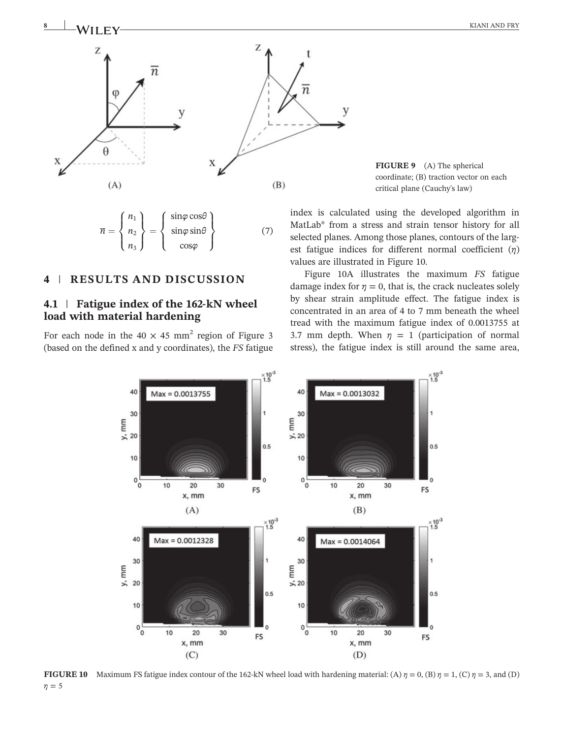

 $\overline{n} =$  $n_1$  $n<sub>2</sub>$  $n<sub>3</sub>$  $\sqrt{2}$  $\int$  $\left\{ \right.$  $\mathcal{L}$  $\overline{\mathcal{L}}$  $\int$  = sinφ cosθ sin $\varphi$  sin $\theta$ cosφ  $\sqrt{2}$  $\int$  $\left\lfloor \right\rfloor$  $\mathcal{L}$  $\downarrow$  $\int$ (7)

#### 4 | RESULTS AND DISCUSSION

#### 4.1 | Fatigue index of the 162-kN wheel load with material hardening

For each node in the  $40 \times 45$  mm<sup>2</sup> region of Figure 3 (based on the defined x and y coordinates), the FS fatigue

FIGURE 9 (A) The spherical coordinate; (B) traction vector on each critical plane (Cauchy's law)

index is calculated using the developed algorithm in MatLab® from a stress and strain tensor history for all selected planes. Among those planes, contours of the largest fatigue indices for different normal coefficient  $(\eta)$ values are illustrated in Figure 10.

Figure 10A illustrates the maximum FS fatigue damage index for  $\eta = 0$ , that is, the crack nucleates solely by shear strain amplitude effect. The fatigue index is concentrated in an area of 4 to 7 mm beneath the wheel tread with the maximum fatigue index of 0.0013755 at 3.7 mm depth. When  $\eta = 1$  (participation of normal stress), the fatigue index is still around the same area,



FIGURE 10 Maximum FS fatigue index contour of the 162-kN wheel load with hardening material: (A)  $\eta = 0$ , (B)  $\eta = 1$ , (C)  $\eta = 3$ , and (D)  $\eta = 5$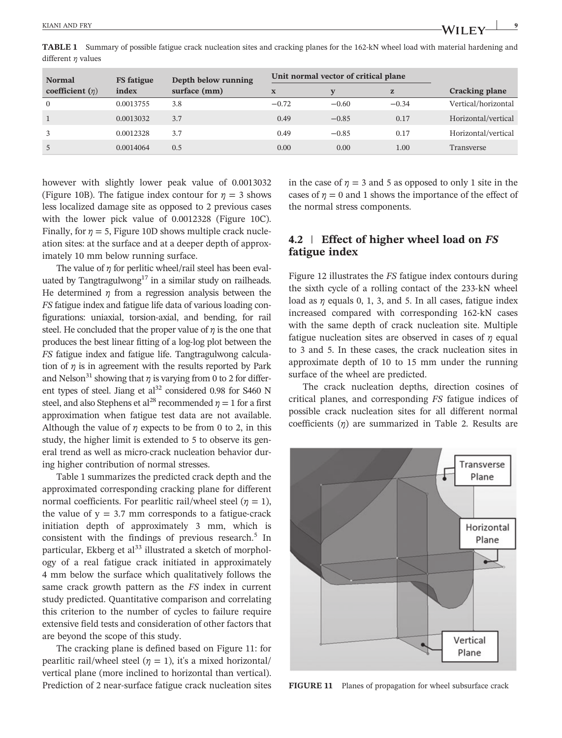TABLE 1 Summary of possible fatigue crack nucleation sites and cracking planes for the 162‐kN wheel load with material hardening and different  $\eta$  values

| <b>Normal</b><br>coefficient $(\eta)$ | <b>FS</b> fatigue<br>index | Depth below running<br>surface (mm) | Unit normal vector of critical plane |         |           |                       |
|---------------------------------------|----------------------------|-------------------------------------|--------------------------------------|---------|-----------|-----------------------|
|                                       |                            |                                     | $\mathbf X$                          |         | ${\bf z}$ | <b>Cracking plane</b> |
| $\mathbf{0}$                          | 0.0013755                  | 3.8                                 | $-0.72$                              | $-0.60$ | $-0.34$   | Vertical/horizontal   |
|                                       | 0.0013032                  | 3.7                                 | 0.49                                 | $-0.85$ | 0.17      | Horizontal/vertical   |
|                                       | 0.0012328                  | 3.7                                 | 0.49                                 | $-0.85$ | 0.17      | Horizontal/vertical   |
|                                       | 0.0014064                  | 0.5                                 | 0.00                                 | 0.00    | 1.00      | Transverse            |

however with slightly lower peak value of 0.0013032 (Figure 10B). The fatigue index contour for  $\eta = 3$  shows less localized damage site as opposed to 2 previous cases with the lower pick value of 0.0012328 (Figure 10C). Finally, for  $\eta = 5$ , Figure 10D shows multiple crack nucleation sites: at the surface and at a deeper depth of approximately 10 mm below running surface.

The value of  $\eta$  for perlitic wheel/rail steel has been evaluated by Tangtragulwong<sup>17</sup> in a similar study on railheads. He determined  $\eta$  from a regression analysis between the FS fatigue index and fatigue life data of various loading configurations: uniaxial, torsion‐axial, and bending, for rail steel. He concluded that the proper value of  $\eta$  is the one that produces the best linear fitting of a log‐log plot between the FS fatigue index and fatigue life. Tangtragulwong calculation of  $\eta$  is in agreement with the results reported by Park and Nelson<sup>31</sup> showing that  $\eta$  is varying from 0 to 2 for different types of steel. Jiang et  $al<sup>32</sup>$  considered 0.98 for S460 N steel, and also Stephens et al<sup>28</sup> recommended  $\eta = 1$  for a first approximation when fatigue test data are not available. Although the value of  $\eta$  expects to be from 0 to 2, in this study, the higher limit is extended to 5 to observe its general trend as well as micro‐crack nucleation behavior during higher contribution of normal stresses.

Table 1 summarizes the predicted crack depth and the approximated corresponding cracking plane for different normal coefficients. For pearlitic rail/wheel steel ( $\eta = 1$ ), the value of  $y = 3.7$  mm corresponds to a fatigue-crack initiation depth of approximately 3 mm, which is consistent with the findings of previous research. $5$  In particular, Ekberg et  $al^{33}$  illustrated a sketch of morphology of a real fatigue crack initiated in approximately 4 mm below the surface which qualitatively follows the same crack growth pattern as the FS index in current study predicted. Quantitative comparison and correlating this criterion to the number of cycles to failure require extensive field tests and consideration of other factors that are beyond the scope of this study.

The cracking plane is defined based on Figure 11: for pearlitic rail/wheel steel ( $\eta = 1$ ), it's a mixed horizontal/ vertical plane (more inclined to horizontal than vertical). Prediction of 2 near-surface fatigue crack nucleation sites in the case of  $\eta = 3$  and 5 as opposed to only 1 site in the cases of  $\eta = 0$  and 1 shows the importance of the effect of the normal stress components.

## 4.2 | Effect of higher wheel load on FS fatigue index

Figure 12 illustrates the FS fatigue index contours during the sixth cycle of a rolling contact of the 233‐kN wheel load as  $\eta$  equals 0, 1, 3, and 5. In all cases, fatigue index increased compared with corresponding 162‐kN cases with the same depth of crack nucleation site. Multiple fatigue nucleation sites are observed in cases of  $\eta$  equal to 3 and 5. In these cases, the crack nucleation sites in approximate depth of 10 to 15 mm under the running surface of the wheel are predicted.

The crack nucleation depths, direction cosines of critical planes, and corresponding FS fatigue indices of possible crack nucleation sites for all different normal coefficients  $(n)$  are summarized in Table 2. Results are



FIGURE 11 Planes of propagation for wheel subsurface crack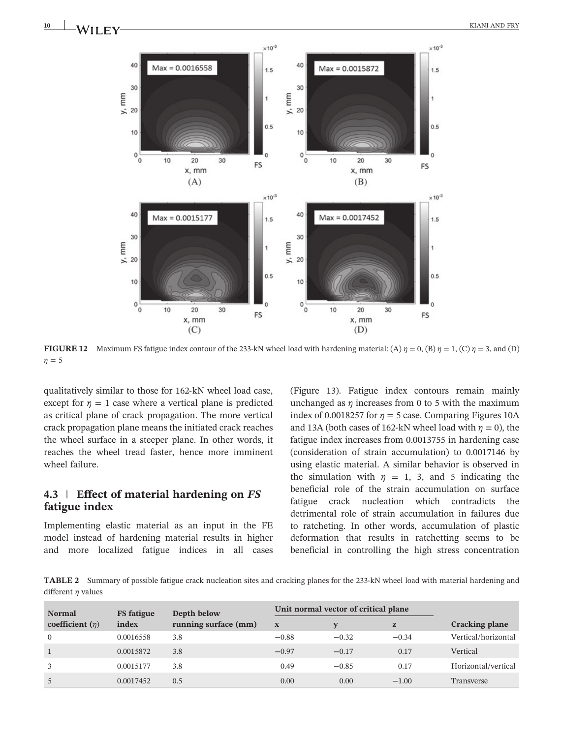**10 KIANI AND FRY**<br>**10 KIANI COV** 



**FIGURE 12** Maximum FS fatigue index contour of the 233-kN wheel load with hardening material: (A)  $\eta = 0$ , (B)  $\eta = 1$ , (C)  $\eta = 3$ , and (D)  $\eta = 5$ 

qualitatively similar to those for 162‐kN wheel load case, except for  $n = 1$  case where a vertical plane is predicted as critical plane of crack propagation. The more vertical crack propagation plane means the initiated crack reaches the wheel surface in a steeper plane. In other words, it reaches the wheel tread faster, hence more imminent wheel failure.

#### 4.3 Effect of material hardening on FS fatigue index

Implementing elastic material as an input in the FE model instead of hardening material results in higher and more localized fatigue indices in all cases (Figure 13). Fatigue index contours remain mainly unchanged as  $\eta$  increases from 0 to 5 with the maximum index of 0.0018257 for  $\eta = 5$  case. Comparing Figures 10A and 13A (both cases of 162-kN wheel load with  $\eta = 0$ ), the fatigue index increases from 0.0013755 in hardening case (consideration of strain accumulation) to 0.0017146 by using elastic material. A similar behavior is observed in the simulation with  $\eta = 1$ , 3, and 5 indicating the beneficial role of the strain accumulation on surface fatigue crack nucleation which contradicts the detrimental role of strain accumulation in failures due to ratcheting. In other words, accumulation of plastic deformation that results in ratchetting seems to be beneficial in controlling the high stress concentration

TABLE 2 Summary of possible fatigue crack nucleation sites and cracking planes for the 233‐kN wheel load with material hardening and different  $\eta$  values

| <b>Normal</b>        | <b>FS</b> fatigue<br>index | Depth below<br>running surface (mm) | Unit normal vector of critical plane |         |         |                       |
|----------------------|----------------------------|-------------------------------------|--------------------------------------|---------|---------|-----------------------|
| coefficient $(\eta)$ |                            |                                     | X                                    |         | Z       | <b>Cracking plane</b> |
|                      | 0.0016558                  | 3.8                                 | $-0.88$                              | $-0.32$ | $-0.34$ | Vertical/horizontal   |
|                      | 0.0015872                  | 3.8                                 | $-0.97$                              | $-0.17$ | 0.17    | Vertical              |
|                      | 0.0015177                  | 3.8                                 | 0.49                                 | $-0.85$ | 0.17    | Horizontal/vertical   |
|                      | 0.0017452                  | 0.5                                 | 0.00                                 | 0.00    | $-1.00$ | Transverse            |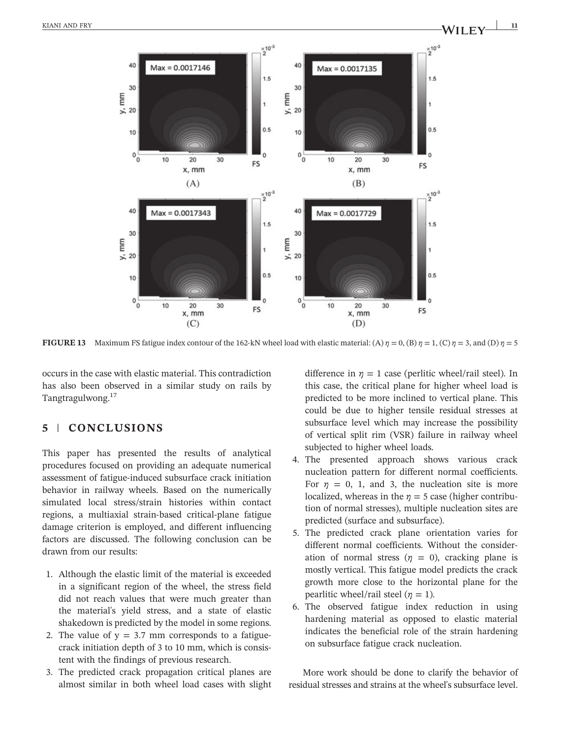

FIGURE 13 Maximum FS fatigue index contour of the 162-kN wheel load with elastic material: (A)  $\eta = 0$ , (B)  $\eta = 1$ , (C)  $\eta = 3$ , and (D)  $\eta = 5$ 

occurs in the case with elastic material. This contradiction has also been observed in a similar study on rails by Tangtragulwong.<sup>17</sup>

#### 5 | CONCLUSIONS

This paper has presented the results of analytical procedures focused on providing an adequate numerical assessment of fatigue‐induced subsurface crack initiation behavior in railway wheels. Based on the numerically simulated local stress/strain histories within contact regions, a multiaxial strain‐based critical‐plane fatigue damage criterion is employed, and different influencing factors are discussed. The following conclusion can be drawn from our results:

- 1. Although the elastic limit of the material is exceeded in a significant region of the wheel, the stress field did not reach values that were much greater than the material's yield stress, and a state of elastic shakedown is predicted by the model in some regions.
- 2. The value of  $y = 3.7$  mm corresponds to a fatiguecrack initiation depth of 3 to 10 mm, which is consistent with the findings of previous research.
- 3. The predicted crack propagation critical planes are almost similar in both wheel load cases with slight

difference in  $\eta = 1$  case (perlitic wheel/rail steel). In this case, the critical plane for higher wheel load is predicted to be more inclined to vertical plane. This could be due to higher tensile residual stresses at subsurface level which may increase the possibility of vertical split rim (VSR) failure in railway wheel subjected to higher wheel loads.

- 4. The presented approach shows various crack nucleation pattern for different normal coefficients. For  $\eta = 0$ , 1, and 3, the nucleation site is more localized, whereas in the  $\eta = 5$  case (higher contribution of normal stresses), multiple nucleation sites are predicted (surface and subsurface).
- 5. The predicted crack plane orientation varies for different normal coefficients. Without the consideration of normal stress  $(\eta = 0)$ , cracking plane is mostly vertical. This fatigue model predicts the crack growth more close to the horizontal plane for the pearlitic wheel/rail steel ( $\eta = 1$ ).
- 6. The observed fatigue index reduction in using hardening material as opposed to elastic material indicates the beneficial role of the strain hardening on subsurface fatigue crack nucleation.

More work should be done to clarify the behavior of residual stresses and strains at the wheel's subsurface level.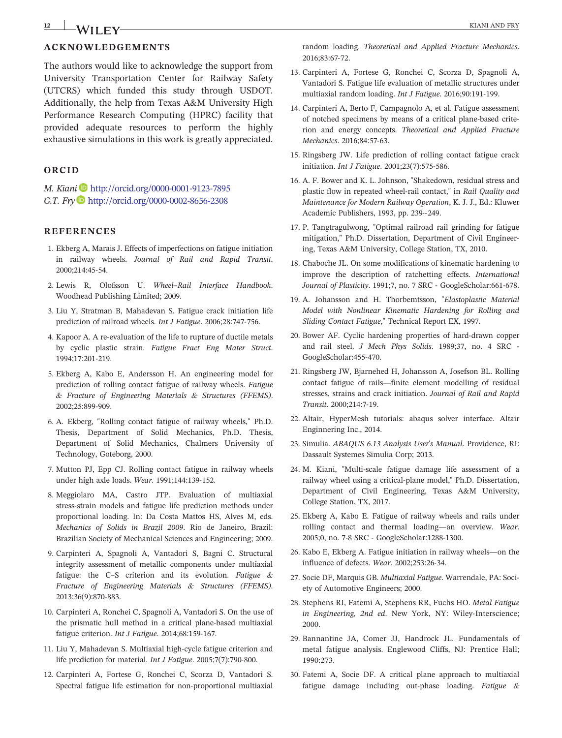## $\frac{12}{12}$  **KIANI AND FRY**

#### ACKNOWLEDGEMENTS

The authors would like to acknowledge the support from University Transportation Center for Railway Safety (UTCRS) which funded this study through USDOT. Additionally, the help from Texas A&M University High Performance Research Computing (HPRC) facility that provided adequate resources to perform the highly exhaustive simulations in this work is greatly appreciated.

#### ORCID

M. Kiani <http://orcid.org/0000-0001-9123-7895> G.T. Fry <http://orcid.org/0000-0002-8656-2308>

#### REFERENCES

- 1. Ekberg A, Marais J. Effects of imperfections on fatigue initiation in railway wheels. Journal of Rail and Rapid Transit. 2. Lewis R, Olofsson U. Wheel–Rail Interface Handbook. 2000;214:45‐54.
- Woodhead Publishing Limited; 2009.
- 3. Liu Y, Stratman B, Mahadevan S. Fatigue crack initiation life prediction of railroad wheels. Int J Fatigue. 2006;28:747‐756.
- 4. Kapoor A. A re‐evaluation of the life to rupture of ductile metals by cyclic plastic strain. Fatigue Fract Eng Mater Struct. 1994;17:201‐219.
- 5. Ekberg A, Kabo E, Andersson H. An engineering model for prediction of rolling contact fatigue of railway wheels. Fatigue & Fracture of Engineering Materials & Structures (FFEMS). 2002;25:899‐909.
- 6. A. Ekberg, "Rolling contact fatigue of railway wheels," Ph.D. Thesis, Department of Solid Mechanics, Ph.D. Thesis, Department of Solid Mechanics, Chalmers University of Technology, Goteborg, 2000.
- 7. Mutton PJ, Epp CJ. Rolling contact fatigue in railway wheels under high axle loads. Wear. 1991;144:139‐152.
- 8. Meggiolaro MA, Castro JTP. Evaluation of multiaxial stress‐strain models and fatigue life prediction methods under proportional loading. In: Da Costa Mattos HS, Alves M, eds. Mechanics of Solids in Brazil 2009. Rio de Janeiro, Brazil: Brazilian Society of Mechanical Sciences and Engineering; 2009.
- 9. Carpinteri A, Spagnoli A, Vantadori S, Bagni C. Structural integrity assessment of metallic components under multiaxial fatigue: the C–S criterion and its evolution. Fatigue & Fracture of Engineering Materials & Structures (FFEMS). 2013;36(9):870‐883.
- 10. Carpinteri A, Ronchei C, Spagnoli A, Vantadori S. On the use of the prismatic hull method in a critical plane‐based multiaxial fatigue criterion. Int J Fatigue. 2014;68:159‐167.
- 11. Liu Y, Mahadevan S. Multiaxial high‐cycle fatigue criterion and life prediction for material. Int J Fatigue. 2005;7(7):790‐800.
- 12. Carpinteri A, Fortese G, Ronchei C, Scorza D, Vantadori S. Spectral fatigue life estimation for non‐proportional multiaxial

random loading. Theoretical and Applied Fracture Mechanics. 2016;83:67‐72.

- 13. Carpinteri A, Fortese G, Ronchei C, Scorza D, Spagnoli A, Vantadori S. Fatigue life evaluation of metallic structures under multiaxial random loading. Int J Fatigue. 2016;90:191‐199.
- 14. Carpinteri A, Berto F, Campagnolo A, et al. Fatigue assessment of notched specimens by means of a critical plane‐based criterion and energy concepts. Theoretical and Applied Fracture Mechanics. 2016;84:57‐63.
- 15. Ringsberg JW. Life prediction of rolling contact fatigue crack initiation. Int J Fatigue. 2001;23(7):575‐586.
- 16. A. F. Bower and K. L. Johnson, "Shakedown, residual stress and plastic flow in repeated wheel-rail contact," in Rail Quality and Maintenance for Modern Railway Operation, K. J. J., Ed.: Kluwer Academic Publishers, 1993, pp. 239‐‐249.
- 17. P. Tangtragulwong, "Optimal railroad rail grinding for fatigue mitigation," Ph.D. Dissertation, Department of Civil Engineering, Texas A&M University, College Station, TX, 2010.
- 18. Chaboche JL. On some modifications of kinematic hardening to improve the description of ratchetting effects. International Journal of Plasticity. 1991;7, no. 7 SRC ‐ GoogleScholar:661‐678.
- 19. A. Johansson and H. Thorbemtsson, "Elastoplastic Material Model with Nonlinear Kinematic Hardening for Rolling and Sliding Contact Fatigue," Technical Report EX, 1997.
- 20. Bower AF. Cyclic hardening properties of hard‐drawn copper and rail steel. J Mech Phys Solids. 1989;37, no. 4 SRC ‐ GoogleScholar:455‐470.
- 21. Ringsberg JW, Bjarnehed H, Johansson A, Josefson BL. Rolling contact fatigue of rails—finite element modelling of residual stresses, strains and crack initiation. Journal of Rail and Rapid Transit. 2000;214:7‐19.
- 22. Altair, HyperMesh tutorials: abaqus solver interface. Altair Enginnering Inc., 2014.
- 23. Simulia. ABAQUS 6.13 Analysis User's Manual. Providence, RI: Dassault Systemes Simulia Corp; 2013.
- 24. M. Kiani, "Multi‐scale fatigue damage life assessment of a railway wheel using a critical‐plane model," Ph.D. Dissertation, Department of Civil Engineering, Texas A&M University, College Station, TX, 2017.
- 25. Ekberg A, Kabo E. Fatigue of railway wheels and rails under rolling contact and thermal loading—an overview. Wear. 2005;0, no. 7‐8 SRC ‐ GoogleScholar:1288‐1300.
- 26. Kabo E, Ekberg A. Fatigue initiation in railway wheels—on the influence of defects. Wear. 2002;253:26‐34.
- 27. Socie DF, Marquis GB. Multiaxial Fatigue. Warrendale, PA: Society of Automotive Engineers; 2000.
- 28. Stephens RI, Fatemi A, Stephens RR, Fuchs HO. Metal Fatigue in Engineering, 2nd ed. New York, NY: Wiley-Interscience; 2000.
- 29. Bannantine JA, Comer JJ, Handrock JL. Fundamentals of metal fatigue analysis. Englewood Cliffs, NJ: Prentice Hall; 1990:273.
- 30. Fatemi A, Socie DF. A critical plane approach to multiaxial fatigue damage including out-phase loading. Fatigue &